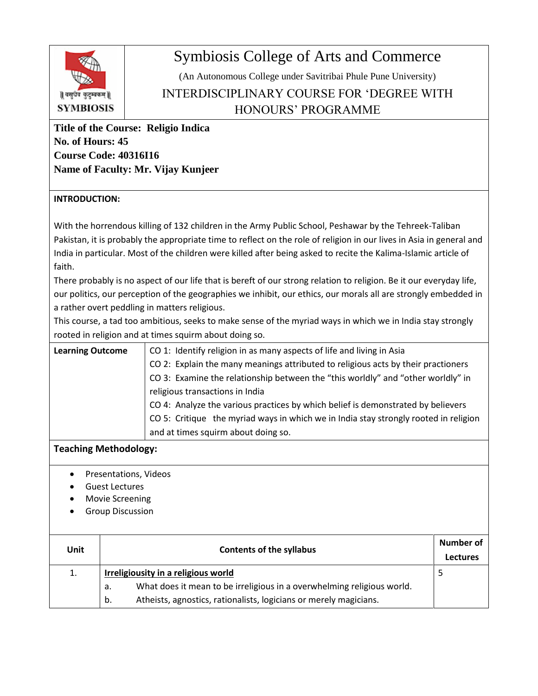

## Symbiosis College of Arts and Commerce

(An Autonomous College under Savitribai Phule Pune University)

INTERDISCIPLINARY COURSE FOR 'DEGREE WITH HONOURS' PROGRAMME

**Title of the Course: Religio Indica No. of Hours: 45 Course Code: 40316I16 Name of Faculty: Mr. Vijay Kunjeer**

## **INTRODUCTION:**

With the horrendous killing of 132 children in the Army Public School, Peshawar by the Tehreek-Taliban Pakistan, it is probably the appropriate time to reflect on the role of religion in our lives in Asia in general and India in particular. Most of the children were killed after being asked to recite the Kalima-Islamic article of faith.

There probably is no aspect of our life that is bereft of our strong relation to religion. Be it our everyday life, our politics, our perception of the geographies we inhibit, our ethics, our morals all are strongly embedded in a rather overt peddling in matters religious.

This course, a tad too ambitious, seeks to make sense of the myriad ways in which we in India stay strongly rooted in religion and at times squirm about doing so.

| <b>Learning Outcome</b> | CO 1: Identify religion in as many aspects of life and living in Asia                |
|-------------------------|--------------------------------------------------------------------------------------|
|                         | CO 2: Explain the many meanings attributed to religious acts by their practioners    |
|                         | CO 3: Examine the relationship between the "this worldly" and "other worldly" in     |
|                         | religious transactions in India                                                      |
|                         | CO 4: Analyze the various practices by which belief is demonstrated by believers     |
|                         | CO 5: Critique the myriad ways in which we in India stay strongly rooted in religion |
|                         | and at times squirm about doing so.                                                  |

## **Teaching Methodology:**

- Presentations, Videos
- Guest Lectures
- Movie Screening
- Group Discussion

| Unit | <b>Contents of the syllabus</b>                                              | Number of<br>Lectures |
|------|------------------------------------------------------------------------------|-----------------------|
| 1.   | <b>Irreligiousity in a religious world</b>                                   |                       |
|      | What does it mean to be irreligious in a overwhelming religious world.<br>а. |                       |
|      | Atheists, agnostics, rationalists, logicians or merely magicians.<br>b.      |                       |